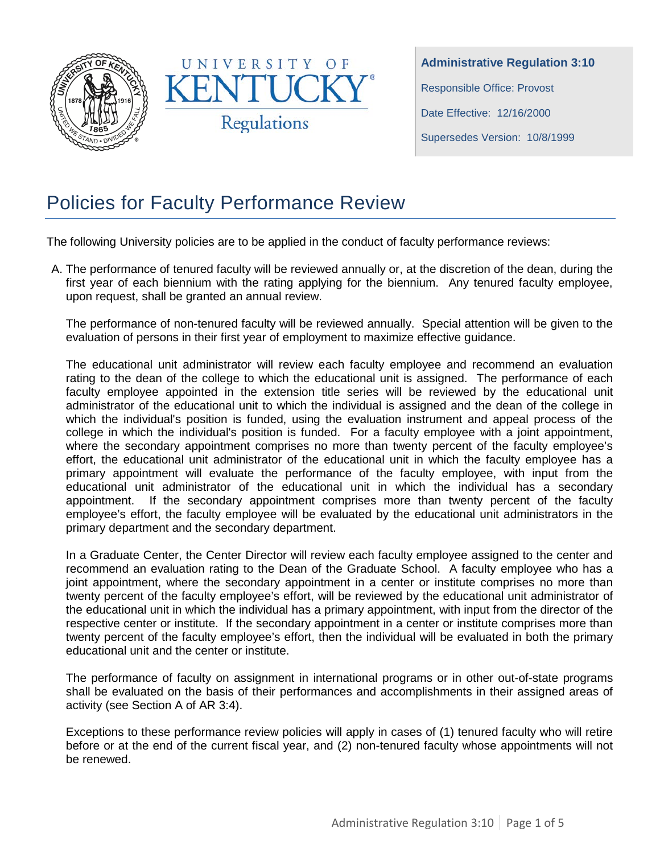



**Administrative Regulation 3:10** Responsible Office: Provost Date Effective: 12/16/2000 Supersedes Version: 10/8/1999

# Policies for Faculty Performance Review

The following University policies are to be applied in the conduct of faculty performance reviews:

A. The performance of tenured faculty will be reviewed annually or, at the discretion of the dean, during the first year of each biennium with the rating applying for the biennium. Any tenured faculty employee, upon request, shall be granted an annual review.

The performance of non-tenured faculty will be reviewed annually. Special attention will be given to the evaluation of persons in their first year of employment to maximize effective guidance.

The educational unit administrator will review each faculty employee and recommend an evaluation rating to the dean of the college to which the educational unit is assigned. The performance of each faculty employee appointed in the extension title series will be reviewed by the educational unit administrator of the educational unit to which the individual is assigned and the dean of the college in which the individual's position is funded, using the evaluation instrument and appeal process of the college in which the individual's position is funded. For a faculty employee with a joint appointment, where the secondary appointment comprises no more than twenty percent of the faculty employee's effort, the educational unit administrator of the educational unit in which the faculty employee has a primary appointment will evaluate the performance of the faculty employee, with input from the educational unit administrator of the educational unit in which the individual has a secondary appointment. If the secondary appointment comprises more than twenty percent of the faculty employee's effort, the faculty employee will be evaluated by the educational unit administrators in the primary department and the secondary department.

In a Graduate Center, the Center Director will review each faculty employee assigned to the center and recommend an evaluation rating to the Dean of the Graduate School. A faculty employee who has a joint appointment, where the secondary appointment in a center or institute comprises no more than twenty percent of the faculty employee's effort, will be reviewed by the educational unit administrator of the educational unit in which the individual has a primary appointment, with input from the director of the respective center or institute. If the secondary appointment in a center or institute comprises more than twenty percent of the faculty employee's effort, then the individual will be evaluated in both the primary educational unit and the center or institute.

The performance of faculty on assignment in international programs or in other out-of-state programs shall be evaluated on the basis of their performances and accomplishments in their assigned areas of activity (see Section A of AR 3:4).

Exceptions to these performance review policies will apply in cases of (1) tenured faculty who will retire before or at the end of the current fiscal year, and (2) non-tenured faculty whose appointments will not be renewed.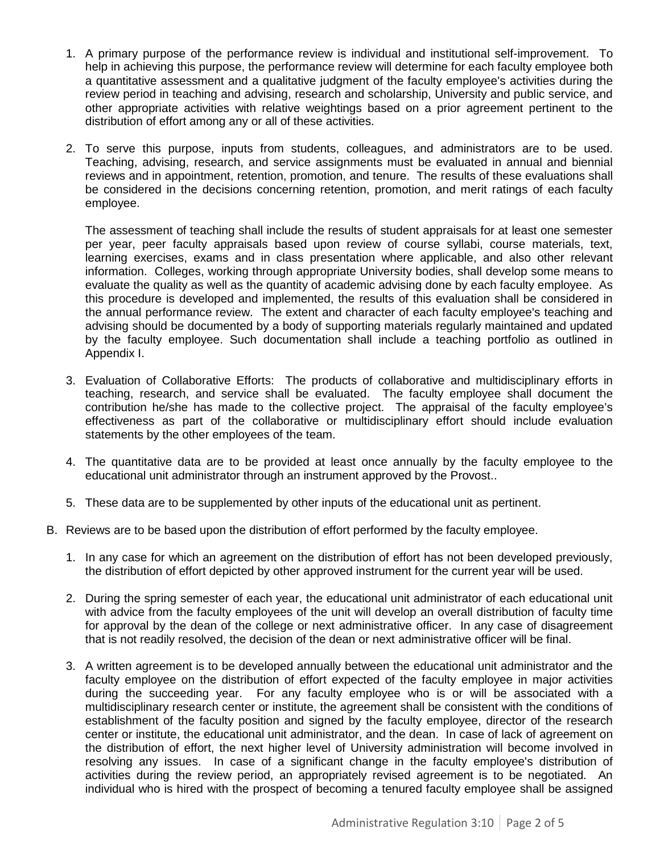- 1. A primary purpose of the performance review is individual and institutional self-improvement. To help in achieving this purpose, the performance review will determine for each faculty employee both a quantitative assessment and a qualitative judgment of the faculty employee's activities during the review period in teaching and advising, research and scholarship, University and public service, and other appropriate activities with relative weightings based on a prior agreement pertinent to the distribution of effort among any or all of these activities.
- 2. To serve this purpose, inputs from students, colleagues, and administrators are to be used. Teaching, advising, research, and service assignments must be evaluated in annual and biennial reviews and in appointment, retention, promotion, and tenure. The results of these evaluations shall be considered in the decisions concerning retention, promotion, and merit ratings of each faculty employee.

The assessment of teaching shall include the results of student appraisals for at least one semester per year, peer faculty appraisals based upon review of course syllabi, course materials, text, learning exercises, exams and in class presentation where applicable, and also other relevant information. Colleges, working through appropriate University bodies, shall develop some means to evaluate the quality as well as the quantity of academic advising done by each faculty employee. As this procedure is developed and implemented, the results of this evaluation shall be considered in the annual performance review. The extent and character of each faculty employee's teaching and advising should be documented by a body of supporting materials regularly maintained and updated by the faculty employee. Such documentation shall include a teaching portfolio as outlined in Appendix I.

- 3. Evaluation of Collaborative Efforts: The products of collaborative and multidisciplinary efforts in teaching, research, and service shall be evaluated. The faculty employee shall document the contribution he/she has made to the collective project. The appraisal of the faculty employee's effectiveness as part of the collaborative or multidisciplinary effort should include evaluation statements by the other employees of the team.
- 4. The quantitative data are to be provided at least once annually by the faculty employee to the educational unit administrator through an instrument approved by the Provost..
- 5. These data are to be supplemented by other inputs of the educational unit as pertinent.
- B. Reviews are to be based upon the distribution of effort performed by the faculty employee.
	- 1. In any case for which an agreement on the distribution of effort has not been developed previously, the distribution of effort depicted by other approved instrument for the current year will be used.
	- 2. During the spring semester of each year, the educational unit administrator of each educational unit with advice from the faculty employees of the unit will develop an overall distribution of faculty time for approval by the dean of the college or next administrative officer. In any case of disagreement that is not readily resolved, the decision of the dean or next administrative officer will be final.
	- 3. A written agreement is to be developed annually between the educational unit administrator and the faculty employee on the distribution of effort expected of the faculty employee in major activities during the succeeding year. For any faculty employee who is or will be associated with a multidisciplinary research center or institute, the agreement shall be consistent with the conditions of establishment of the faculty position and signed by the faculty employee, director of the research center or institute, the educational unit administrator, and the dean. In case of lack of agreement on the distribution of effort, the next higher level of University administration will become involved in resolving any issues. In case of a significant change in the faculty employee's distribution of activities during the review period, an appropriately revised agreement is to be negotiated. An individual who is hired with the prospect of becoming a tenured faculty employee shall be assigned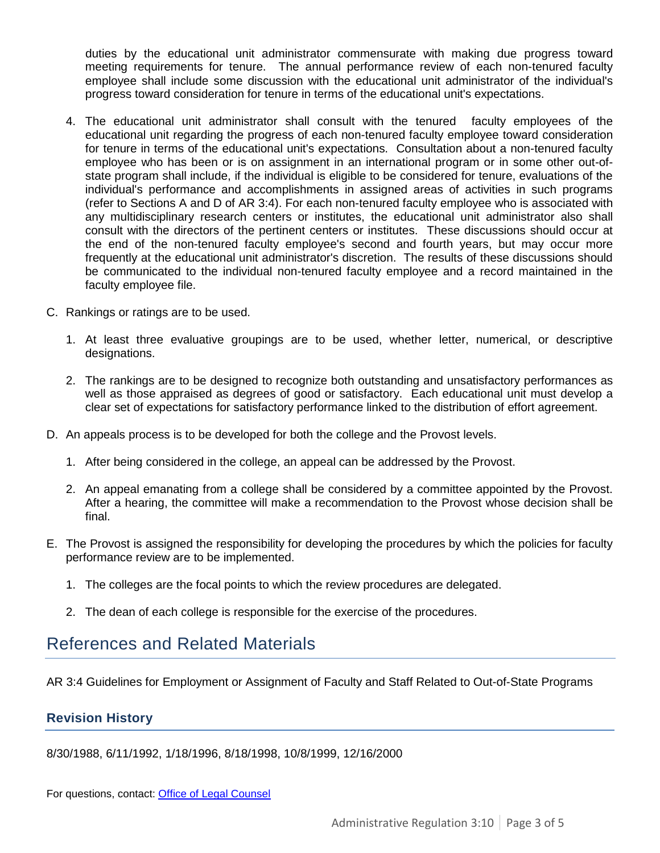duties by the educational unit administrator commensurate with making due progress toward meeting requirements for tenure. The annual performance review of each non-tenured faculty employee shall include some discussion with the educational unit administrator of the individual's progress toward consideration for tenure in terms of the educational unit's expectations.

- 4. The educational unit administrator shall consult with the tenured faculty employees of the educational unit regarding the progress of each non-tenured faculty employee toward consideration for tenure in terms of the educational unit's expectations. Consultation about a non-tenured faculty employee who has been or is on assignment in an international program or in some other out-ofstate program shall include, if the individual is eligible to be considered for tenure, evaluations of the individual's performance and accomplishments in assigned areas of activities in such programs (refer to Sections A and D of AR 3:4). For each non-tenured faculty employee who is associated with any multidisciplinary research centers or institutes, the educational unit administrator also shall consult with the directors of the pertinent centers or institutes. These discussions should occur at the end of the non-tenured faculty employee's second and fourth years, but may occur more frequently at the educational unit administrator's discretion. The results of these discussions should be communicated to the individual non-tenured faculty employee and a record maintained in the faculty employee file.
- C. Rankings or ratings are to be used.
	- 1. At least three evaluative groupings are to be used, whether letter, numerical, or descriptive designations.
	- 2. The rankings are to be designed to recognize both outstanding and unsatisfactory performances as well as those appraised as degrees of good or satisfactory. Each educational unit must develop a clear set of expectations for satisfactory performance linked to the distribution of effort agreement.
- D. An appeals process is to be developed for both the college and the Provost levels.
	- 1. After being considered in the college, an appeal can be addressed by the Provost.
	- 2. An appeal emanating from a college shall be considered by a committee appointed by the Provost. After a hearing, the committee will make a recommendation to the Provost whose decision shall be final.
- E. The Provost is assigned the responsibility for developing the procedures by which the policies for faculty performance review are to be implemented.
	- 1. The colleges are the focal points to which the review procedures are delegated.
	- 2. The dean of each college is responsible for the exercise of the procedures.

# References and Related Materials

AR 3:4 Guidelines for Employment or Assignment of Faculty and Staff Related to Out-of-State Programs

## **Revision History**

8/30/1988, 6/11/1992, 1/18/1996, 8/18/1998, 10/8/1999, 12/16/2000

For questions, contact: Office [of Legal Counsel](mailto:LegalRegs@uky.edu)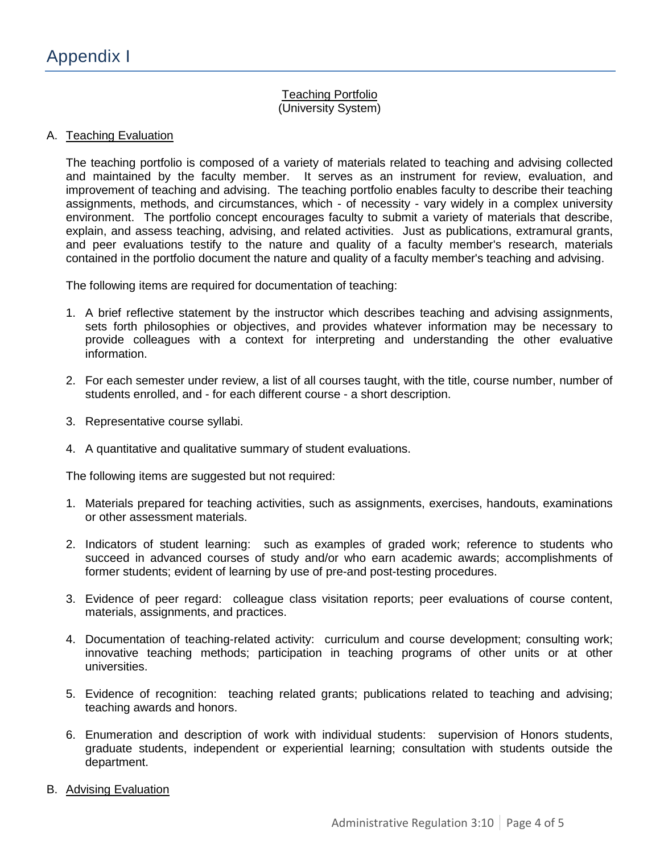### Teaching Portfolio (University System)

#### A. Teaching Evaluation

The teaching portfolio is composed of a variety of materials related to teaching and advising collected and maintained by the faculty member. It serves as an instrument for review, evaluation, and improvement of teaching and advising. The teaching portfolio enables faculty to describe their teaching assignments, methods, and circumstances, which - of necessity - vary widely in a complex university environment. The portfolio concept encourages faculty to submit a variety of materials that describe, explain, and assess teaching, advising, and related activities. Just as publications, extramural grants, and peer evaluations testify to the nature and quality of a faculty member's research, materials contained in the portfolio document the nature and quality of a faculty member's teaching and advising.

The following items are required for documentation of teaching:

- 1. A brief reflective statement by the instructor which describes teaching and advising assignments, sets forth philosophies or objectives, and provides whatever information may be necessary to provide colleagues with a context for interpreting and understanding the other evaluative information.
- 2. For each semester under review, a list of all courses taught, with the title, course number, number of students enrolled, and - for each different course - a short description.
- 3. Representative course syllabi.
- 4. A quantitative and qualitative summary of student evaluations.

The following items are suggested but not required:

- 1. Materials prepared for teaching activities, such as assignments, exercises, handouts, examinations or other assessment materials.
- 2. Indicators of student learning: such as examples of graded work; reference to students who succeed in advanced courses of study and/or who earn academic awards; accomplishments of former students; evident of learning by use of pre-and post-testing procedures.
- 3. Evidence of peer regard: colleague class visitation reports; peer evaluations of course content, materials, assignments, and practices.
- 4. Documentation of teaching-related activity: curriculum and course development; consulting work; innovative teaching methods; participation in teaching programs of other units or at other universities.
- 5. Evidence of recognition: teaching related grants; publications related to teaching and advising; teaching awards and honors.
- 6. Enumeration and description of work with individual students: supervision of Honors students, graduate students, independent or experiential learning; consultation with students outside the department.
- B. Advising Evaluation